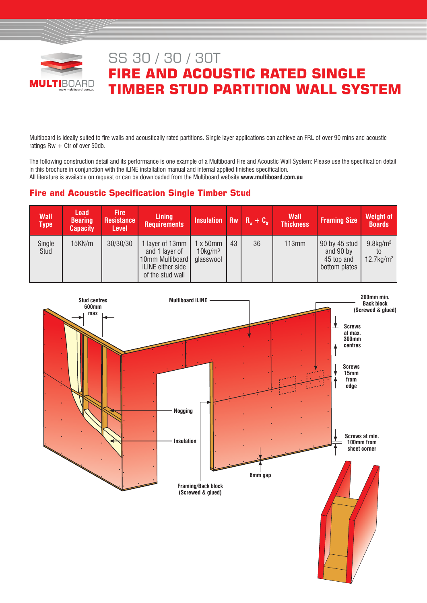

# SS 30 / 30 / 30T **FIRE AND ACOUSTIC RATED SINGLE TIMBER STUD PARTITION WALL SYSTEM**

Multiboard is ideally suited to fire walls and acoustically rated partitions. Single layer applications can achieve an FRL of over 90 mins and acoustic ratings  $Rw + Ctr$  of over 50db.

The following construction detail and its performance is one example of a Multiboard Fire and Acoustic Wall System: Please use the specification detail in this brochure in conjunction with the iLINE installation manual and internal applied finishes specification. All literature is available on request or can be downloaded from the Multiboard website **www.multiboard.com.au**

# **Fire and Acoustic Specification Single Timber Stud**

| <b>Wall</b><br><b>Type</b> | <b>Load</b><br><b>Bearing</b><br><b>Capacity</b> | <b>Fire</b><br><b>Resistance</b><br><b>Level</b> | <b>Lining</b><br><b>Requirements</b>                                                          | Insulation Rw $R_w + C_w$                       |    |    | <b>Wall</b><br><b>Thickness</b> | <b>Framing Size</b>                                       | <b>Weight of</b><br><b>Boards</b>                   |
|----------------------------|--------------------------------------------------|--------------------------------------------------|-----------------------------------------------------------------------------------------------|-------------------------------------------------|----|----|---------------------------------|-----------------------------------------------------------|-----------------------------------------------------|
| Single<br>Stud             | 15KN/m                                           | 30/30/30                                         | I layer of 13mm<br>and 1 layer of<br>10mm Multiboard<br>iLINE either side<br>of the stud wall | l x 50mm<br>$10$ kg/m <sup>3</sup><br>glasswool | 43 | 36 | 113mm                           | 90 by 45 stud<br>and 90 by<br>45 top and<br>bottom plates | $9.8$ kg/m <sup>2</sup><br>$12.7$ kg/m <sup>2</sup> |